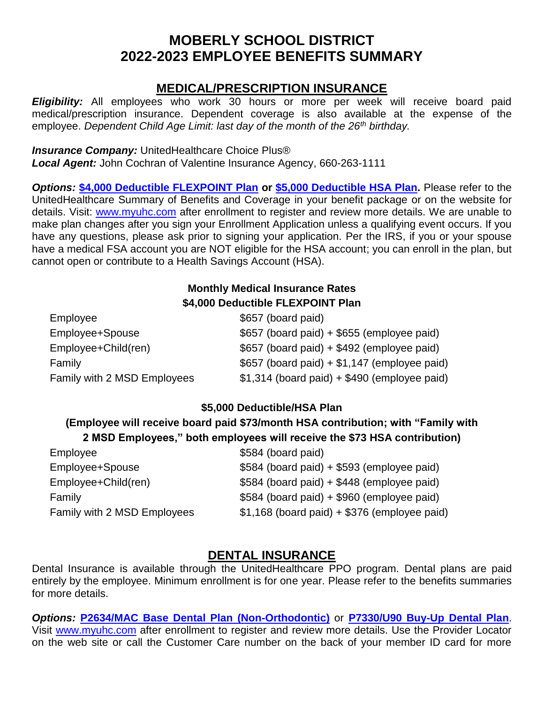# **MOBERLY SCHOOL DISTRICT 2022-2023 EMPLOYEE BENEFITS SUMMARY**

### **MEDICAL/PRESCRIPTION INSURANCE**

*Eligibility:* All employees who work 30 hours or more per week will receive board paid medical/prescription insurance. Dependent coverage is also available at the expense of the employee. *Dependent Child Age Limit: last day of the month of the 26th birthday.*

#### *Insurance Company:* UnitedHealthcare Choice Plus®

*Local Agent:* John Cochran of Valentine Insurance Agency, 660-263-1111

*Options:* **[\\$4,000 Deductible](http://moberly.k12.mo.us/Forms/payroll_benefits/2022-2023%20Insurance/2022-2023%20Flexpoint%20Health%20Insurance%20Summary%20of%20Benefits%20and%20Coverage.pdf) FLEXPOINT Plan or [\\$5,000 Deductible](http://moberly.k12.mo.us/Forms/payroll_benefits/2022-2023%20Insurance/2022-2023%20HSA%20Health%20Insurance%20Summary%20of%20Benefits%20and%20Coverage.pdf) HSA Plan.** Please refer to the UnitedHealthcare Summary of Benefits and Coverage in your benefit package or on the website for details. Visit: [www.myuhc.com](http://www.myuhc.com/) after enrollment to register and review more details. We are unable to make plan changes after you sign your Enrollment Application unless a qualifying event occurs. If you have any questions, please ask prior to signing your application. Per the IRS, if you or your spouse have a medical FSA account you are NOT eligible for the HSA account; you can enroll in the plan, but cannot open or contribute to a Health Savings Account (HSA).

### **Monthly Medical Insurance Rates \$4,000 Deductible FLEXPOINT Plan**

| Employee                    | \$657 (board paid)                             |
|-----------------------------|------------------------------------------------|
| Employee+Spouse             | \$657 (board paid) + \$655 (employee paid)     |
| Employee+Child(ren)         | \$657 (board paid) + \$492 (employee paid)     |
| Family                      | $$657$ (board paid) + $$1,147$ (employee paid) |
| Family with 2 MSD Employees | $$1,314$ (board paid) + $$490$ (employee paid) |

#### **\$5,000 Deductible/HSA Plan**

#### **(Employee will receive board paid \$73/month HSA contribution; with "Family with 2 MSD Employees," both employees will receive the \$73 HSA contribution)**

| \$584 (board paid)                             |
|------------------------------------------------|
| \$584 (board paid) + \$593 (employee paid)     |
| \$584 (board paid) + \$448 (employee paid)     |
| \$584 (board paid) + \$960 (employee paid)     |
| $$1,168$ (board paid) + $$376$ (employee paid) |
|                                                |

# **DENTAL INSURANCE**

Dental Insurance is available through the UnitedHealthcare PPO program. Dental plans are paid entirely by the employee. Minimum enrollment is for one year. Please refer to the benefits summaries for more details.

*Options:* **[P2634/MAC Base Dental Plan \(Non-Orthodontic\)](http://moberly.k12.mo.us/Forms/payroll_benefits/2022-2023%20Insurance/2022-23%20Base%20Dental%20Insurance%20Benefit%20Summary.pdf)** or **[P7330/U90 Buy-Up](http://moberly.k12.mo.us/Forms/payroll_benefits/2022-2023%20Insurance/2022-23%20Buy%20Up%20Dental%20Insurance%20Benefit%20Summary.pdf) Dental Plan**. Visit [www.myuhc.com](http://www.myuhc.com/) after enrollment to register and review more details. Use the Provider Locator on the web site or call the Customer Care number on the back of your member ID card for more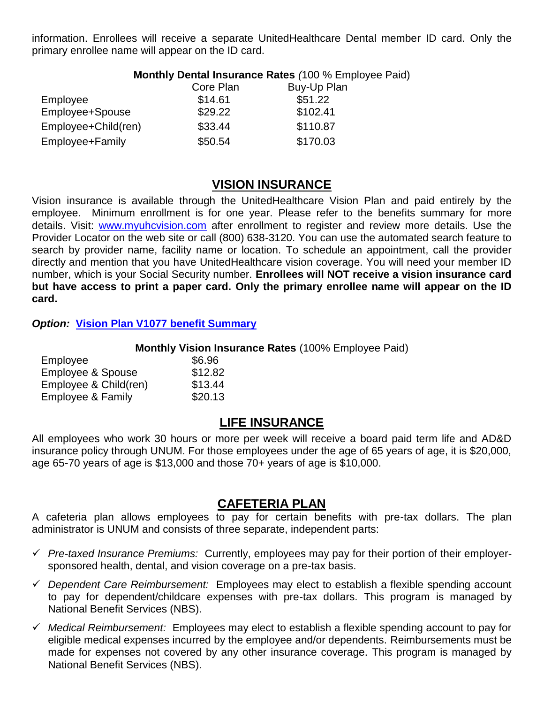information. Enrollees will receive a separate UnitedHealthcare Dental member ID card. Only the primary enrollee name will appear on the ID card.

#### **Monthly Dental Insurance Rates** *(*100 % Employee Paid)

|                     | Core Plan | Buy-Up Plan |
|---------------------|-----------|-------------|
| Employee            | \$14.61   | \$51.22     |
| Employee+Spouse     | \$29.22   | \$102.41    |
| Employee+Child(ren) | \$33.44   | \$110.87    |
| Employee+Family     | \$50.54   | \$170.03    |

#### **VISION INSURANCE**

Vision insurance is available through the UnitedHealthcare Vision Plan and paid entirely by the employee. Minimum enrollment is for one year. Please refer to the benefits summary for more details. Visit: [www.myuhcvision.com](http://www.myuhcvision.com/) after enrollment to register and review more details. Use the Provider Locator on the web site or call (800) 638-3120. You can use the automated search feature to search by provider name, facility name or location. To schedule an appointment, call the provider directly and mention that you have UnitedHealthcare vision coverage. You will need your member ID number, which is your Social Security number. **Enrollees will NOT receive a vision insurance card but have access to print a paper card. Only the primary enrollee name will appear on the ID card.**

*Option:* **[Vision Plan V1077](http://moberly.k12.mo.us/Forms/payroll_benefits/2022-2023%20Insurance/2022-23%20Vision%20Insurance%20Benefit%20Summary.pdf) benefit Summary**

**Monthly Vision Insurance Rates** (100% Employee Paid)

| Employee                     | \$6.96  |
|------------------------------|---------|
| <b>Employee &amp; Spouse</b> | \$12.82 |
| Employee & Child(ren)        | \$13.44 |
| Employee & Family            | \$20.13 |

### **LIFE INSURANCE**

All employees who work 30 hours or more per week will receive a board paid term life and AD&D insurance policy through UNUM. For those employees under the age of 65 years of age, it is \$20,000, age 65-70 years of age is \$13,000 and those 70+ years of age is \$10,000.

### **CAFETERIA PLAN**

A cafeteria plan allows employees to pay for certain benefits with pre-tax dollars. The plan administrator is UNUM and consists of three separate, independent parts:

- *Pre-taxed Insurance Premiums:* Currently, employees may pay for their portion of their employersponsored health, dental, and vision coverage on a pre-tax basis.
- *Dependent Care Reimbursement:* Employees may elect to establish a flexible spending account to pay for dependent/childcare expenses with pre-tax dollars. This program is managed by National Benefit Services (NBS).
- *Medical Reimbursement:* Employees may elect to establish a flexible spending account to pay for eligible medical expenses incurred by the employee and/or dependents. Reimbursements must be made for expenses not covered by any other insurance coverage. This program is managed by National Benefit Services (NBS).